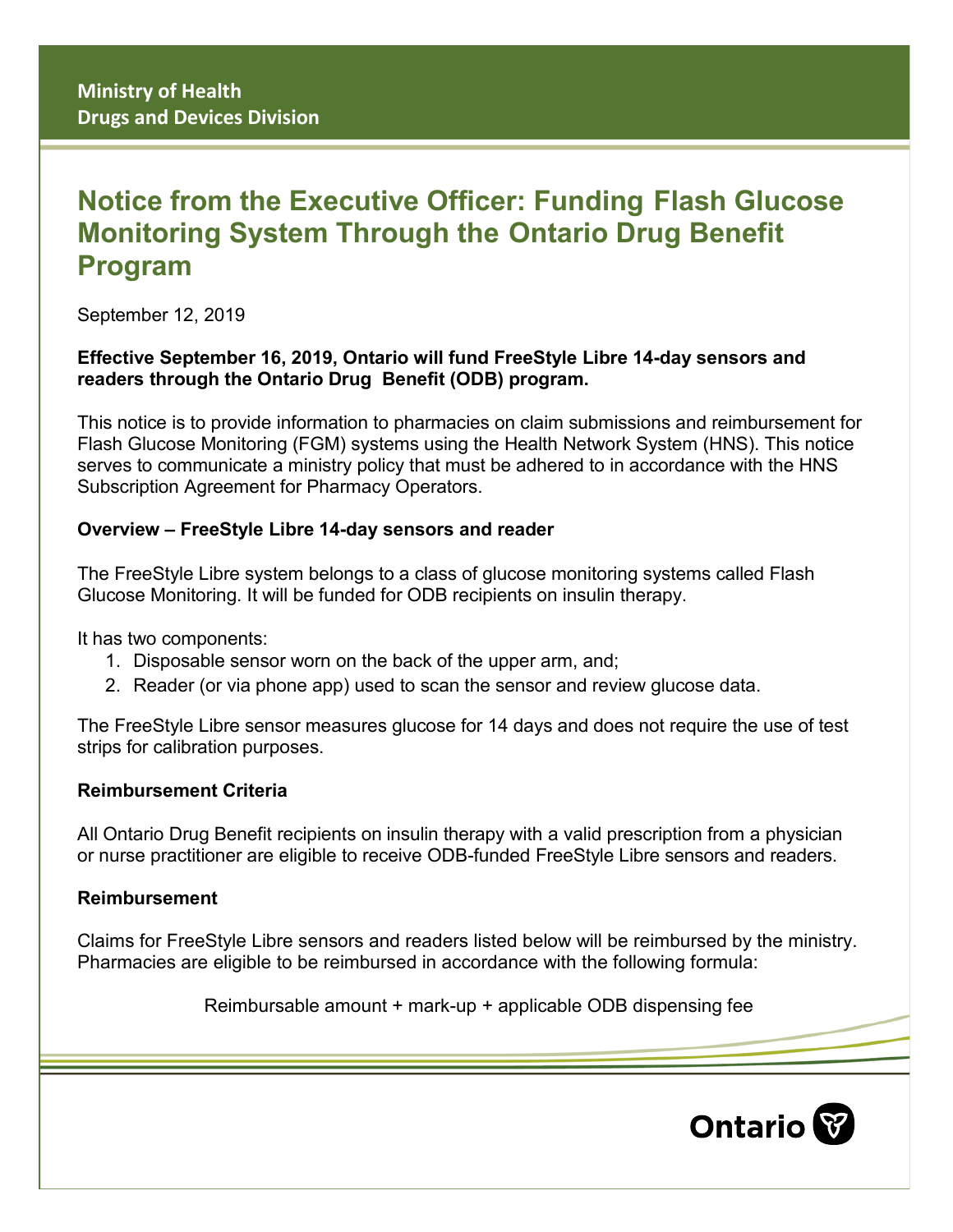# **Notice from the Executive Officer: Funding Flash Glucose Monitoring System Through the Ontario Drug Benefit Program**

September 12, 2019

## **Effective September 16, 2019, Ontario will fund FreeStyle Libre 14-day sensors and readers through the Ontario Drug Benefit (ODB) program.**

This notice is to provide information to pharmacies on claim submissions and reimbursement for Flash Glucose Monitoring (FGM) systems using the Health Network System (HNS). This notice serves to communicate a ministry policy that must be adhered to in accordance with the HNS Subscription Agreement for Pharmacy Operators.

# **Overview – FreeStyle Libre 14-day sensors and reader**

The FreeStyle Libre system belongs to a class of glucose monitoring systems called Flash Glucose Monitoring. It will be funded for ODB recipients on insulin therapy.

It has two components:

- 1. Disposable sensor worn on the back of the upper arm, and;
- 2. Reader (or via phone app) used to scan the sensor and review glucose data.

The FreeStyle Libre sensor measures glucose for 14 days and does not require the use of test strips for calibration purposes.

## **Reimbursement Criteria**

All Ontario Drug Benefit recipients on insulin therapy with a valid prescription from a physician or nurse practitioner are eligible to receive ODB-funded FreeStyle Libre sensors and readers.

## **Reimbursement**

Claims for FreeStyle Libre sensors and readers listed below will be reimbursed by the ministry. Pharmacies are eligible to be reimbursed in accordance with the following formula:

Reimbursable amount + mark-up + applicable ODB dispensing fee

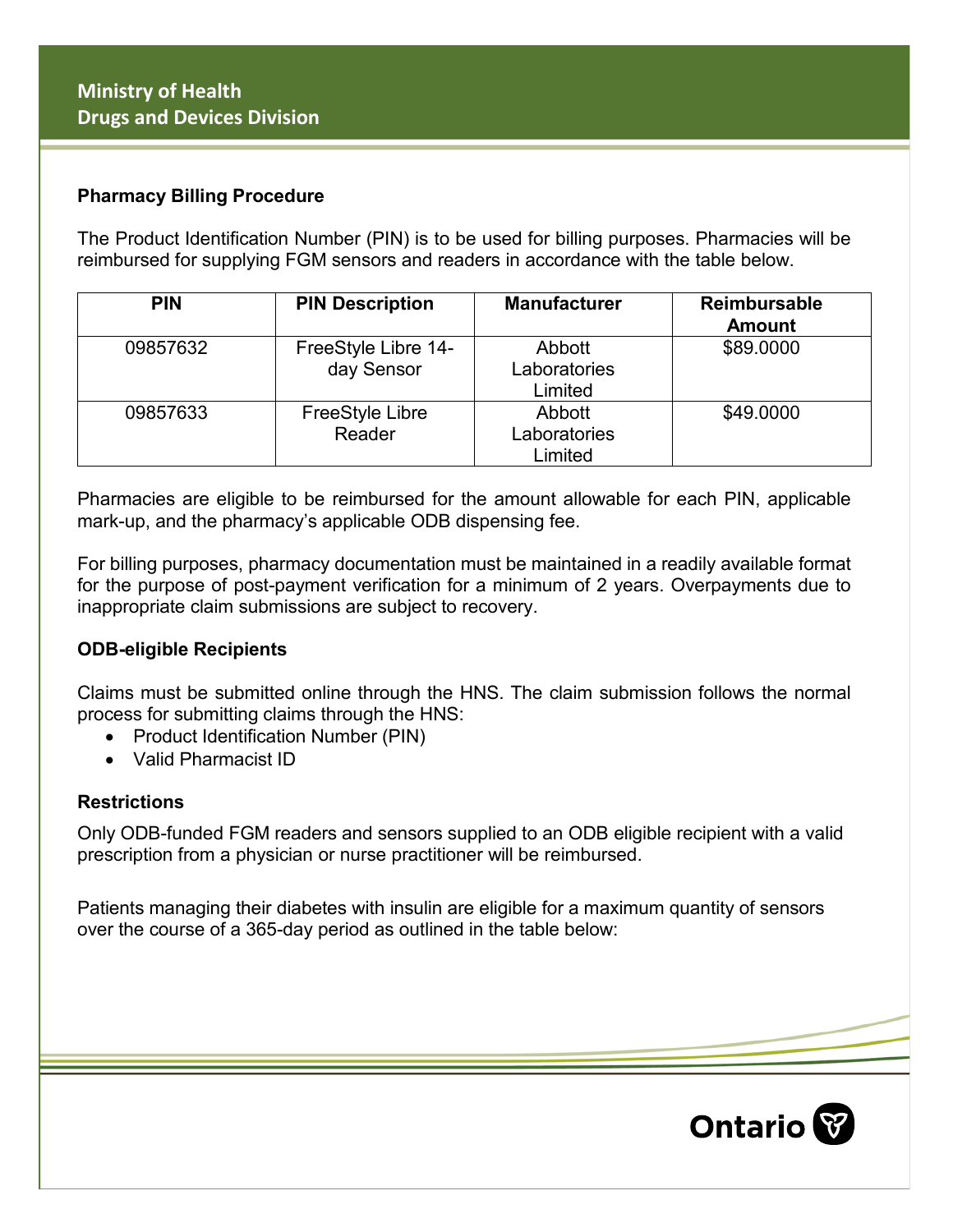#### **Pharmacy Billing Procedure**

The Product Identification Number (PIN) is to be used for billing purposes. Pharmacies will be reimbursed for supplying FGM sensors and readers in accordance with the table below.

| <b>PIN</b> | <b>PIN Description</b>            | <b>Manufacturer</b>               | <b>Reimbursable</b><br><b>Amount</b> |
|------------|-----------------------------------|-----------------------------------|--------------------------------------|
| 09857632   | FreeStyle Libre 14-<br>day Sensor | Abbott<br>Laboratories<br>Limited | \$89.0000                            |
| 09857633   | <b>FreeStyle Libre</b><br>Reader  | Abbott<br>Laboratories<br>Limited | \$49.0000                            |

Pharmacies are eligible to be reimbursed for the amount allowable for each PIN, applicable mark-up, and the pharmacy's applicable ODB dispensing fee.

For billing purposes, pharmacy documentation must be maintained in a readily available format for the purpose of post-payment verification for a minimum of 2 years. Overpayments due to inappropriate claim submissions are subject to recovery.

#### **ODB-eligible Recipients**

Claims must be submitted online through the HNS. The claim submission follows the normal process for submitting claims through the HNS:

- Product Identification Number (PIN)
- Valid Pharmacist ID

#### **Restrictions**

Only ODB-funded FGM readers and sensors supplied to an ODB eligible recipient with a valid prescription from a physician or nurse practitioner will be reimbursed.

Patients managing their diabetes with insulin are eligible for a maximum quantity of sensors over the course of a 365-day period as outlined in the table below: